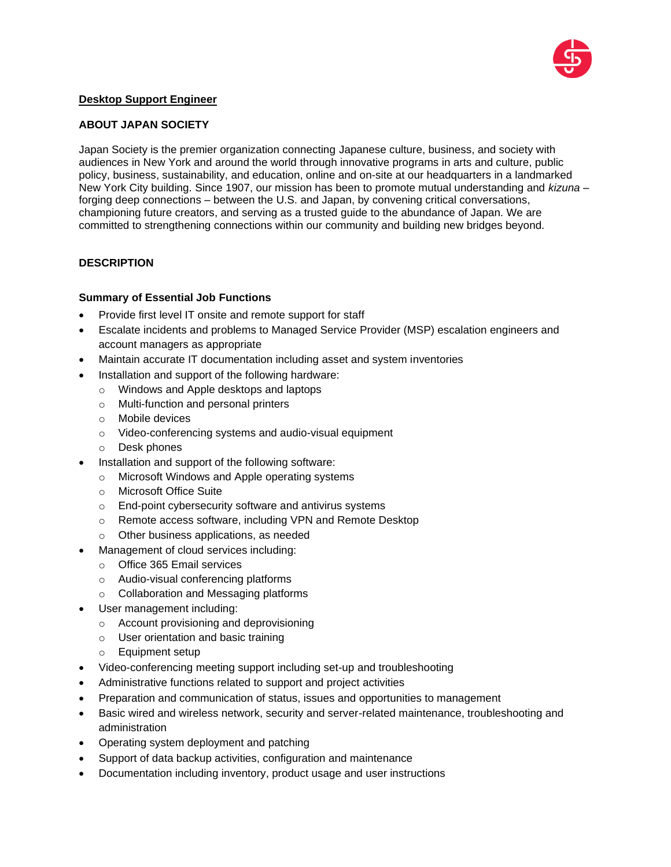

## **Desktop Support Engineer**

#### **ABOUT JAPAN SOCIETY**

Japan Society is the premier organization connecting Japanese culture, business, and society with audiences in New York and around the world through innovative programs in arts and culture, public policy, business, sustainability, and education, online and on-site at our headquarters in a landmarked New York City building. Since 1907, our mission has been to promote mutual understanding and *kizuna* – forging deep connections – between the U.S. and Japan, by convening critical conversations, championing future creators, and serving as a trusted guide to the abundance of Japan. We are committed to strengthening connections within our community and building new bridges beyond.

## **DESCRIPTION**

## **Summary of Essential Job Functions**

- Provide first level IT onsite and remote support for staff
- Escalate incidents and problems to Managed Service Provider (MSP) escalation engineers and account managers as appropriate
- Maintain accurate IT documentation including asset and system inventories
- Installation and support of the following hardware:
	- o Windows and Apple desktops and laptops
	- o Multi-function and personal printers
	- o Mobile devices
	- o Video-conferencing systems and audio-visual equipment
	- o Desk phones
- Installation and support of the following software:
	- o Microsoft Windows and Apple operating systems
	- o Microsoft Office Suite
	- o End-point cybersecurity software and antivirus systems
	- o Remote access software, including VPN and Remote Desktop
	- o Other business applications, as needed
- Management of cloud services including:
	- o Office 365 Email services
	- o Audio-visual conferencing platforms
	- o Collaboration and Messaging platforms
- User management including:
	- o Account provisioning and deprovisioning
	- o User orientation and basic training
	- o Equipment setup
- Video-conferencing meeting support including set-up and troubleshooting
- Administrative functions related to support and project activities
- Preparation and communication of status, issues and opportunities to management
- Basic wired and wireless network, security and server-related maintenance, troubleshooting and administration
- Operating system deployment and patching
- Support of data backup activities, configuration and maintenance
- Documentation including inventory, product usage and user instructions